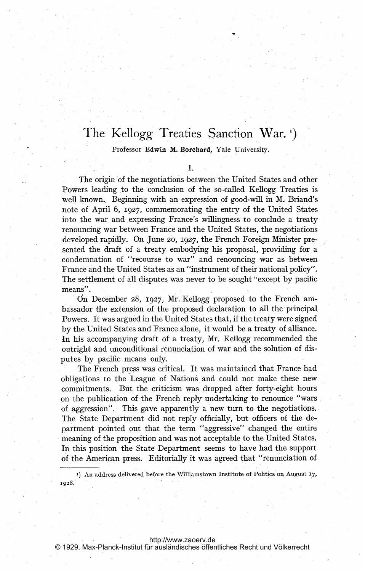## The Kellogg Treaties Sanction War.')

Professor Edwin M. Borchard, Yale University.

I.

The origin of the negotiations between the United States and other Powers leading to the conclusion of the so-called Kellogg Treaties is well known. Beginning with an expression of good-will in M. Briand's note of April 6, 1927, commemorating the entry of the United States into the war and expressing France's willingness to conclude a treaty renouncing war between France and the United States, the negotiations developed rapidly. On June 20, 1927, the French Foreign Minister presented the draft of a treaty embodying his proposal, providing for a condemnation of "recourse to war" and renouncing war as between France and the United States as an "instrument of their national policy". The settlement of all disputes was never to be sought "except by pacific means".

On December 28, 1927, Mr. Kellogg proposed to the French ambassador the extension of the proposed declaration to all the principal Powers. It was argued in the United States that, if the treaty were signed by the United States and France alone, it would be a treaty of alliance. In his accompanying draft of <sup>a</sup> treaty, Mr. Kellogg recommended the outright and unconditional renunciation of war and the solution of disputes by pacific means only.

The French press was critical. It was maintained that France had obligations to the League of Nations and could not make these new commitments. But the criticism was dropped after forty-eight hours on the publication of the French reply undertaking to renounce "wars of aggression". This gave apparently <sup>a</sup> new turn to the negotiations. The State Department did not reply officially, but officers of the department pointed out that the term "aggressive" changed the entire meaning of the proposition and was not acceptable to the United States. In this position the State Department seems to have had the support of the American press, Editorially it was agreed that "renunciation of

1) An address delivered before the Williamstown Institute of Politics on, August 17, 1928.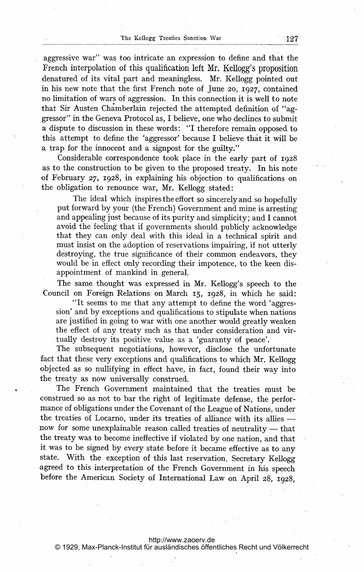aggressive war" was too intricate an expression to define and that the French interpolation of this qualification left Mr. Kellogg's proposition denatured of its vital part and meaningless. Mr. Kellogg pointed out in his new note that the first French note of June 20, 1927, contained no limitation of wars of aggression. In this connection it is well to note that Sir Austen Chamberlain rejected the attempted definition of "aggressor" in the Geneva Protocol as, <sup>I</sup> believe, one who declines to submit a dispute to discussion in these words: "I therefore remain opposed to this attempt to define the 'aggressor' because <sup>I</sup> believe that it will be a trap for the innocent and a signpost for the guilty."

Considerable correspondence took place in the early part of 1928 as to the construction to be given to the proposed treaty. In his note of February 27, 1928, in explaining his objection to qualifications on the obligation to renounce war, Mr. Kellogg stated:

The ideal which inspires the effort so sincerely and so hopefully put forward by your (the French) Government and mine is arresting and appealing just because of its purity and simplicity; and <sup>I</sup> cannot avoid the feeling that if governments should publicly acknowledge that they can only deal with this ideal in a technical spirit and must insist on the adoption of reservations impairing, if not utterly destroying, the true significance of their common endeavors, they would be in effect only recording their impotence, to the keen disappointment of mankind in general.

The same thought was expressed in Mr. Kellogg's speech to the Council on Foreign Relations on March 15, 1928, in which he said:

"It seems to me that any attempt to define the word 'aggression' and by exceptions and qualifications to stipulate when nations are justified in going to war with one another would greatly weaken the effect of any treaty such as that under consideration and virtually destroy its positive value as a 'guaranty of peace'.

The subsequent negotiations, however, disclose the unfortunate fact that these very exceptions and qualifications to which Mr. Kellogg objected as so nullifying in effect have, in fact, found their way into the treaty as now universally construed.

The French Government maintained that the treaties must be construed so as not to bar the right of legitimate defense, the performance of obligations under the Covenant of the League of Nations, under the treaties of Locarno, under its treaties of alliance with its allies now for some unexplainable reason called treaties of neutrality — that the treaty was to become ineffective if violated by one nation, and that it was to be signed by every state before it became effective as to any state. With the exception of this last reservation, Secretary Kellogg agreed to this interpretation of the French Government in his speech before the American Society of International Law on April 28, 1928,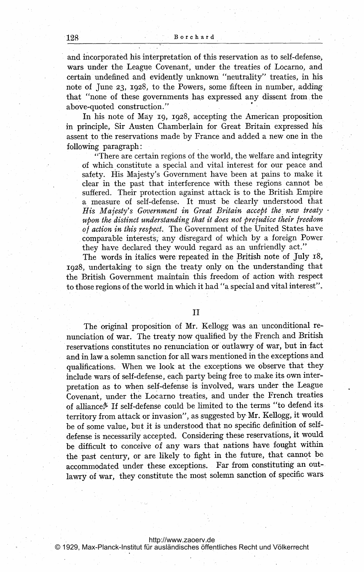and incorporated his interpretation of this reservation as to self-defense, wars under the League Covenant, under the treaties of Locarno, and certain undefined and evidently unknown "neutrality" treaties, in his note of June 23, 1928, to the Powers, some fifteen in number, adding that "none of these governments has expressed any dissent from the above-quoted construction."

In his note of May 19, 1928, accepting the American proposition in principle, Sir Austen Chamberlain for Great Britain expressed his assent to the reservations made by France and added <sup>a</sup> new one in the following paragraph:

"There are certain regions of the world, the welfare and integrity of which constitute <sup>a</sup> special and vital interest for our peace and safety. His Majesty's Government have been at pains to make it clear in the past that interference with these regions cannot be suffered. Their protection against attack is to the British Empire a measure of self-defense. It must be clearly understood that His Majesty's Government in Great Britain accept the new treaty upon the distinct understanding that it does not prejudice their freedom<br>of action in this respect. The Government of the United States have comparable interests, any disregard of which by <sup>a</sup> foreign Power they have declared they would regard as an unfriendly act."

The words in italics were repeated in the British note of July 18, 1928, undertaking to sign the treaty only on the understanding that the British Government maintain this freedom of action with respect to those regions of the world in which it had "a special and vital interest".

## II

The original proposition of Mr. Kellogg was an unconditional renunciation of war. The treaty now qualified by the French and British reservations constitutes no renunciation or outlawry of war, but in fact and in law a solemn sanction for all wars mentioned in the exceptions and qualifications. When we look at the exceptions we observe that they include wars of self-defense, each party being free to make its own interpretation as to when self-defense is involved, wars under the League Covenant, under the Locarno treaties, and under the French treaties of alliance.<sup>\*</sup> If self-defense could be limited to the terms "to defend its territory from attack or invasion", as suggested by Mr. Kellogg, it would be of some value, but it is understood that no specific definition of selfdefense is necessarily accepted. Considering these reservations, it would be difficult to conceive of any wars that nations have fought within the past century, or are likely to fight in the future, that cannot be accommodated under these exceptions. Far from constituting an outlawry of war, they constitute the most solemn sanction of specific wars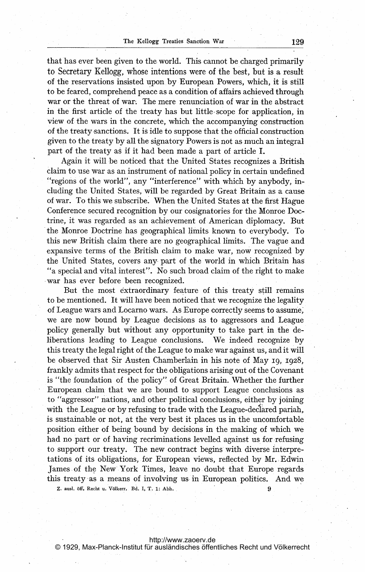that has ever been given to the world. This cannot be charged primarily to Secretary Kellogg, whose intentions were of the best, but is a result of the reservations insisted upon by European Powers, which, it is still to be feared, comprehend peace as a condition of affairs achieved through war or the threat of war. The mere renunciation of war in the abstract in the first article of the treaty has but little scope for application, in view of the wars in the concrete, which the accompanying construction of the treaty sanctions. It is idle to suppose that the official construction given to the treaty by all the signatory Powers is not as much an integral part of the treaty as if it had been made <sup>a</sup> part of article I.

Again it will be noticed that the United States recognizes a British claim to use war as an instrument of national policy in certain undefined "regions of the world", any "interference" with which by anybody, ineluding the United States, will be regarded by Great Britain as a cause of war. To this we subscribe. When the United States at the first Hague Conference secured recognition by our cosignatories for the Monroe Doctrine, it was regarded as an achievement of American diplomacy. But the Monroe Doctrine has geographical limits known to everybody. To this new British claim there are no geographical limits. The vague and expansive terms of the British claim to make war, now recognized by the United States, covers any part of the world in which Britain has "a special and vital interest". No such broad claim of the right to make war has ever before been recognized.

But the most extraordinary feature of this treaty still remains to be mentioned. It will have been noticed that we recognize the legality of League wars and Locarno wars. As Europe correctly seems to assume, we are now bound by League decisions as to aggressors and League policy generally but without any opportunity to take part in the deliberations leading to League conclusions. We indeed recognize by this treaty the legal right of the League to make war against us, and it will be observed that Sir Austen Chamberlain in his note of May 19, 1928, frankly admits that respect for the obligations arising out of the Covenant is "the foundation of the policy" of Great Britain. Whether the further European claim that we are bound to support League conclusions as to "aggressor" nations, and other political conclusions, either by joining with the League or by refusing to trade with the League-declared pariah, is sustainable or not, at the very best it places us in the uncomfortable position either of being bound by decisions in the making of which we had no part or of having recriminations levelled against us for refusing to support our treaty. The new contract begins with diverse interpretations of its obligations, for European views, reflected by Mr. Edwin James of the New York Times, leave no doubt that Europe regards this treaty as <sup>a</sup> means of involving us in European politics. And we

Z. ausl. off. Recht u. Volkerr. Bd. I, T. 1: Abh. 9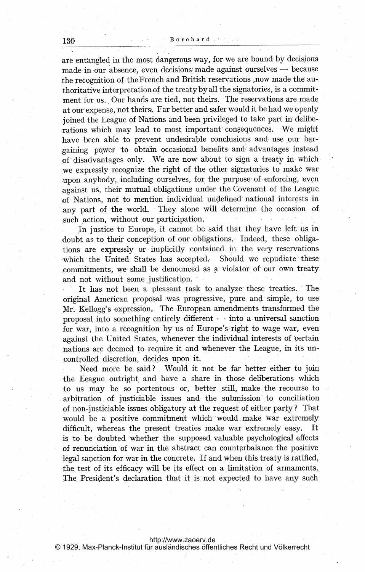are entangled in the most dangerous way, for we are bound by decisions are entangled in the most dangerous way, for we are bound by decisions<br>made in our absence, even decisions made against ourselves — because the recognition of the French and British reservations ,now made the authoritative interpretation of the treaty byall the signatories, is a commitment for us. Our hands are tied, not theirs. The reservations are made at our expense, not theirs. Far better and safer would it be had we openly joined the League of Nations and been privileged to take part in deliberations which may lead to most important consequences. We might have been able to prevent undesirable conclusions and use our bargaining power to obtain occasional benefits and advantages instead of disadvantages only. We are now about to sign <sup>a</sup> treaty in which we expressly recognize the right of the other signatories to make war upon anybody, including ourselves, for the purpose of enforcing, even against us, their mutual obligations under the Covenant of the League of Nations, not to mention individual undefined national interests in any part of the world. They alone will determine the occasion of such action, without our participation.

In justice to Europe, it cannot be said that they have left us in doubt as to their conception of our obligations. Indeed, these obligations are expressly or implicitly contained in the very reservations which the United States has accepted. Should we repudiate these commitments, we shall be denounced as a violator of our own treaty and not without some justification.

It has not been <sup>a</sup> pleasant task to analyze these treaties. The original American proposal was progressive, pure and simple, to use Mr. Kellogg's expression. The European amendments transformed the proposal into something entirely different - into a universal sanction for war, into a recognition by us of Europe's right to wage war, even against the United States, whenever the individual interests of certain nations are deemed to require it and whenever the League, in its uncontrolled discretion, decides upon it.

Need more be said? Would it not be far better either to join the League outright and have a share in those deliberations which to us may be so portentous or, better still, make the recourse to arbitration of justiciable issues and the submission to conciliation of non-justiciable issues obligatory at the request of either party That would be <sup>a</sup> positive commitment which would make war extremely difficult, whereas the present treaties make war extremely easy. It is to be doubted whether the supposed valuable psychological effects of renunciation of war in the abstract can counterbalance the positive legal sanction for war in the concrete. If and when this treaty is ratified, the test of its efficacy will be its effect on a limitation of armaments. The President's declaration that it is not expected to have any such